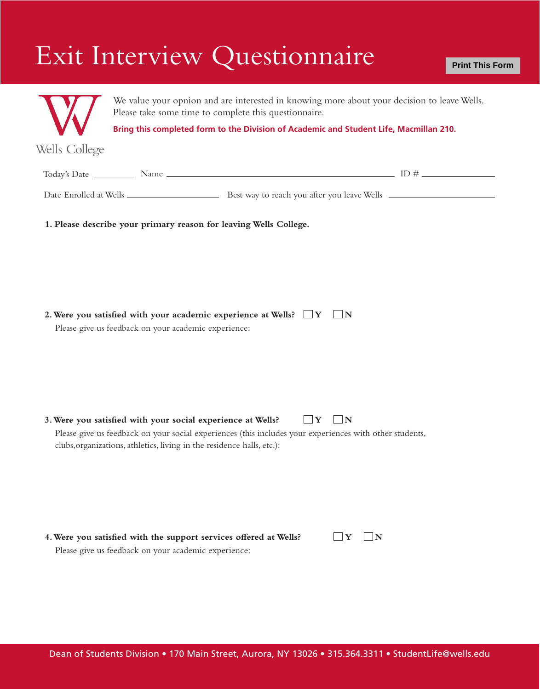## Exit Interview Questionnaire



We value your opnion and are interested in knowing more about your decision to leave Wells. Please take some time to complete this questionnaire.

**Bring this completed form to the Division of Academic and Student Life, Macmillan 210.**

Wells College

| Today's Date           | Name |                                             |  |
|------------------------|------|---------------------------------------------|--|
| Date Enrolled at Wells |      | Best way to reach you after you leave Wells |  |

**1. Please describe your primary reason for leaving Wells College.**

|  |  |  |  | 2. Were you satisfied with your academic experience at Wells? $\square Y \square N$ |  |  |
|--|--|--|--|-------------------------------------------------------------------------------------|--|--|
|--|--|--|--|-------------------------------------------------------------------------------------|--|--|

Please give us feedback on your academic experience:

**3. Were you satisfied with your social experience at Wells?**  $\Box$  Y  $\Box$  N Please give us feedback on your social experiences (this includes your experiences with other students,

| 4. Were you satisfied with the support services offered at Wells? |  |  |
|-------------------------------------------------------------------|--|--|
| Please give us feedback on your academic experience:              |  |  |

clubs,organizations, athletics, living in the residence halls, etc.):

 $\Box$ **Y**  $\Box$ **N**